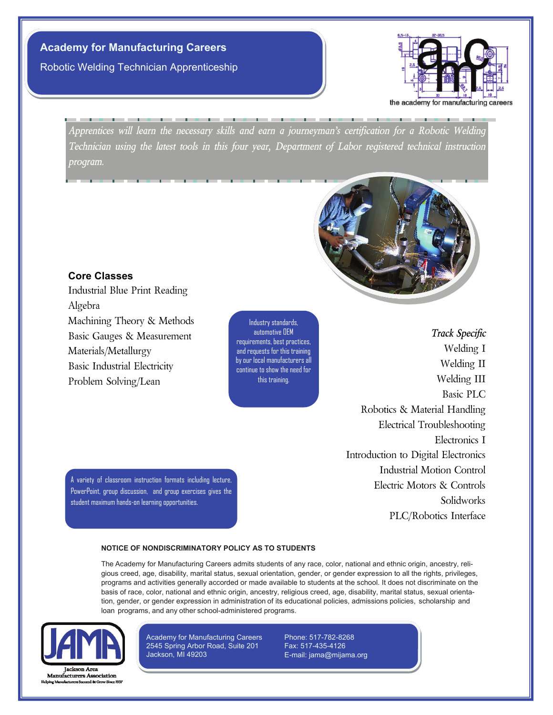**Academy for Manufacturing Careers**  Robotic Welding Technician Apprenticeship



*Apprentices will learn the necessary skills and earn a journeyman's certification for a Robotic Welding Technician using the latest tools in this four year, Department of Labor registered technical instruction program.*



## **Core Classes**

Industrial Blue Print Reading Algebra Machining Theory & Methods Basic Gauges & Measurement Materials/Metallurgy Basic Industrial Electricity Problem Solving/Lean

Industry standards, automotive OEM requirements, best practices, and requests for this training by our local manufacturers all continue to show the need for this training.

*Track Specific* Welding I Welding II Welding III Basic PLC Robotics & Material Handling Electrical Troubleshooting Electronics I Introduction to Digital Electronics Industrial Motion Control Electric Motors & Controls Solidworks PLC/Robotics Interface

student maximum hands-on learning opportunities.

A variety of classroom instruction formats including lecture, PowerPoint, group discussion, and group exercises gives the

#### **NOTICE OF NONDISCRIMINATORY POLICY AS TO STUDENTS**

The Academy for Manufacturing Careers admits students of any race, color, national and ethnic origin, ancestry, religious creed, age, disability, marital status, sexual orientation, gender, or gender expression to all the rights, privileges, programs and activities generally accorded or made available to students at the school. It does not discriminate on the basis of race, color, national and ethnic origin, ancestry, religious creed, age, disability, marital status, sexual orientation, gender, or gender expression in administration of its educational policies, admissions policies, scholarship and loan programs, and any other school-administered programs.



**Manufacturers Association** 

Academy for Manufacturing Careers 2545 Spring Arbor Road, Suite 201 Jackson, MI 49203

Phone: 517-782-8268 Fax: 517-435-4126 E-mail: jama@mijama.org